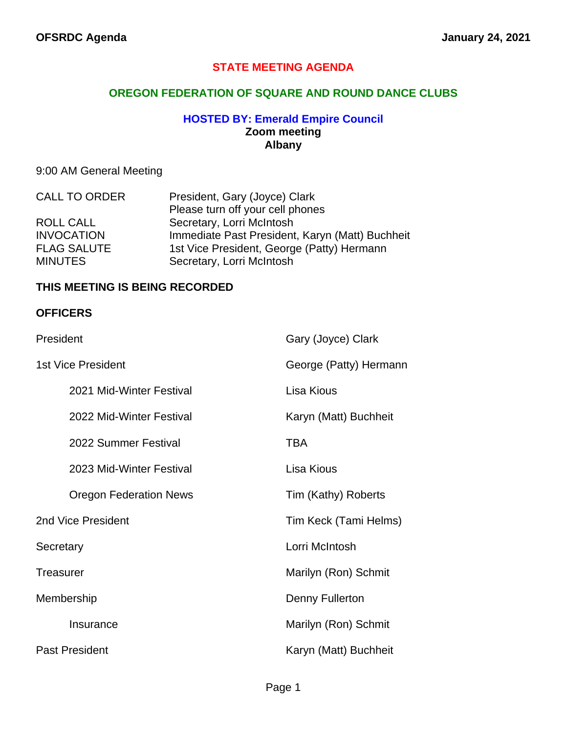## **STATE MEETING AGENDA**

## **OREGON FEDERATION OF SQUARE AND ROUND DANCE CLUBS**

#### **HOSTED BY: Emerald Empire Council Zoom meeting Albany**

## 9:00 AM General Meeting

| <b>CALL TO ORDER</b> | President, Gary (Joyce) Clark                   |
|----------------------|-------------------------------------------------|
|                      | Please turn off your cell phones                |
| <b>ROLL CALL</b>     | Secretary, Lorri McIntosh                       |
| <b>INVOCATION</b>    | Immediate Past President, Karyn (Matt) Buchheit |
| <b>FLAG SALUTE</b>   | 1st Vice President, George (Patty) Hermann      |
| <b>MINUTES</b>       | Secretary, Lorri McIntosh                       |

#### **THIS MEETING IS BEING RECORDED**

#### **OFFICERS**

| President                     | Gary (Joyce) Clark     |
|-------------------------------|------------------------|
| <b>1st Vice President</b>     | George (Patty) Hermann |
| 2021 Mid-Winter Festival      | Lisa Kious             |
| 2022 Mid-Winter Festival      | Karyn (Matt) Buchheit  |
| 2022 Summer Festival          | TBA                    |
| 2023 Mid-Winter Festival      | Lisa Kious             |
| <b>Oregon Federation News</b> | Tim (Kathy) Roberts    |
| 2nd Vice President            | Tim Keck (Tami Helms)  |
| Secretary                     | Lorri McIntosh         |
| <b>Treasurer</b>              | Marilyn (Ron) Schmit   |
| Membership                    | Denny Fullerton        |
| Insurance                     | Marilyn (Ron) Schmit   |
| <b>Past President</b>         | Karyn (Matt) Buchheit  |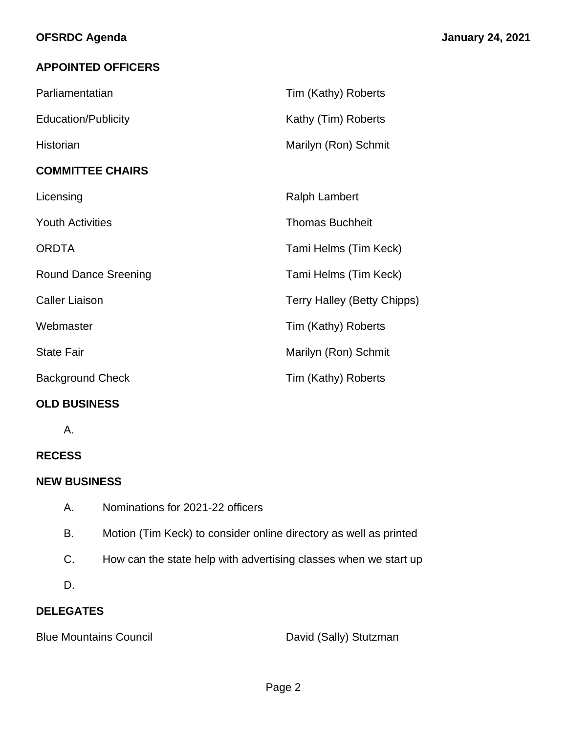# **APPOINTED OFFICERS**

| Parliamentatian             | Tim (Kathy) Roberts         |
|-----------------------------|-----------------------------|
| <b>Education/Publicity</b>  | Kathy (Tim) Roberts         |
| Historian                   | Marilyn (Ron) Schmit        |
| <b>COMMITTEE CHAIRS</b>     |                             |
| Licensing                   | <b>Ralph Lambert</b>        |
| <b>Youth Activities</b>     | <b>Thomas Buchheit</b>      |
| <b>ORDTA</b>                | Tami Helms (Tim Keck)       |
| <b>Round Dance Sreening</b> | Tami Helms (Tim Keck)       |
| <b>Caller Liaison</b>       | Terry Halley (Betty Chipps) |
| Webmaster                   | Tim (Kathy) Roberts         |
| <b>State Fair</b>           | Marilyn (Ron) Schmit        |
| <b>Background Check</b>     | Tim (Kathy) Roberts         |

# **OLD BUSINESS**

A.

# **RECESS**

## **NEW BUSINESS**

- A. Nominations for 2021-22 officers
- B. Motion (Tim Keck) to consider online directory as well as printed
- C. How can the state help with advertising classes when we start up
- D.

# **DELEGATES**

Blue Mountains Council **David (Sally)** Stutzman